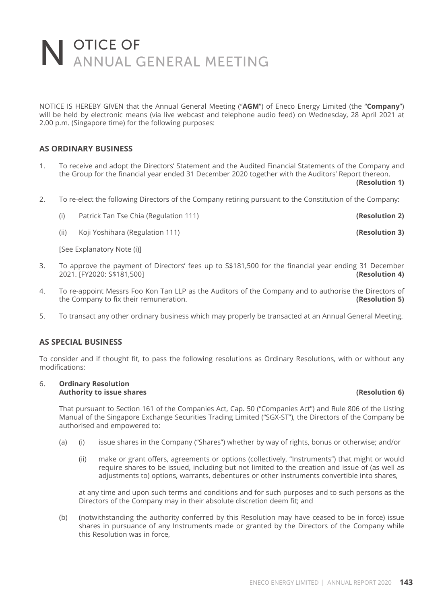NOTICE IS HEREBY GIVEN that the Annual General Meeting ("**AGM**") of Eneco Energy Limited (the "**Company**") will be held by electronic means (via live webcast and telephone audio feed) on Wednesday, 28 April 2021 at 2.00 p.m. (Singapore time) for the following purposes:

### **AS ORDINARY BUSINESS**

1. To receive and adopt the Directors' Statement and the Audited Financial Statements of the Company and the Group for the financial year ended 31 December 2020 together with the Auditors' Report thereon.

**(Resolution 1)**

- 2. To re-elect the following Directors of the Company retiring pursuant to the Constitution of the Company:
	- (i) Patrick Tan Tse Chia (Regulation 111) **(Resolution 2)**
	- (ii) Koji Yoshihara (Regulation 111) **(Resolution 3)**

[See Explanatory Note (i)]

- 3. To approve the payment of Directors' fees up to S\$181,500 for the financial year ending 31 December<br>2021. [FY2020: S\$181,500] 2021. [FY2020: S\$181,500] **(Resolution 4)**
- 4. To re-appoint Messrs Foo Kon Tan LLP as the Auditors of the Company and to authorise the Directors of the Company to fix their remuneration. **(Resolution 5) (Resolution 5)**
- 5. To transact any other ordinary business which may properly be transacted at an Annual General Meeting.

### **AS SPECIAL BUSINESS**

To consider and if thought fit, to pass the following resolutions as Ordinary Resolutions, with or without any modifications:

### 6. **Ordinary Resolution Authority to issue shares (Resolution 6)**

 That pursuant to Section 161 of the Companies Act, Cap. 50 ("Companies Act") and Rule 806 of the Listing Manual of the Singapore Exchange Securities Trading Limited ("SGX-ST"), the Directors of the Company be authorised and empowered to:

- (a) (i) issue shares in the Company ("Shares") whether by way of rights, bonus or otherwise; and/or
	- (ii) make or grant offers, agreements or options (collectively, "Instruments") that might or would require shares to be issued, including but not limited to the creation and issue of (as well as adjustments to) options, warrants, debentures or other instruments convertible into shares,

 at any time and upon such terms and conditions and for such purposes and to such persons as the Directors of the Company may in their absolute discretion deem fit; and

 (b) (notwithstanding the authority conferred by this Resolution may have ceased to be in force) issue shares in pursuance of any Instruments made or granted by the Directors of the Company while this Resolution was in force,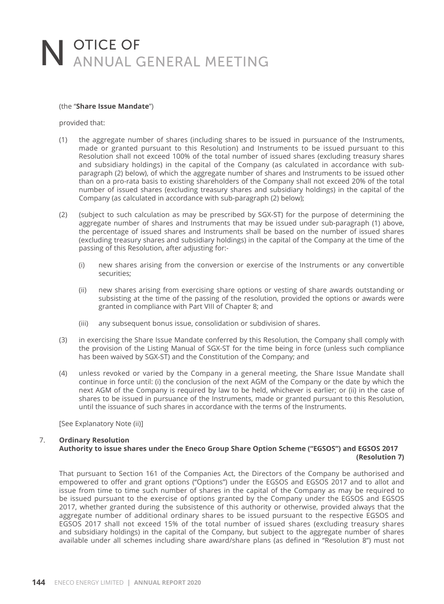### (the "**Share Issue Mandate**")

provided that:

- (1) the aggregate number of shares (including shares to be issued in pursuance of the Instruments, made or granted pursuant to this Resolution) and Instruments to be issued pursuant to this Resolution shall not exceed 100% of the total number of issued shares (excluding treasury shares and subsidiary holdings) in the capital of the Company (as calculated in accordance with subparagraph (2) below), of which the aggregate number of shares and Instruments to be issued other than on a pro-rata basis to existing shareholders of the Company shall not exceed 20% of the total number of issued shares (excluding treasury shares and subsidiary holdings) in the capital of the Company (as calculated in accordance with sub-paragraph (2) below);
- (2) (subject to such calculation as may be prescribed by SGX-ST) for the purpose of determining the aggregate number of shares and Instruments that may be issued under sub-paragraph (1) above, the percentage of issued shares and Instruments shall be based on the number of issued shares (excluding treasury shares and subsidiary holdings) in the capital of the Company at the time of the passing of this Resolution, after adjusting for:-
	- (i) new shares arising from the conversion or exercise of the Instruments or any convertible securities;
	- (ii) new shares arising from exercising share options or vesting of share awards outstanding or subsisting at the time of the passing of the resolution, provided the options or awards were granted in compliance with Part VIII of Chapter 8; and
	- (iii) any subsequent bonus issue, consolidation or subdivision of shares.
- (3) in exercising the Share Issue Mandate conferred by this Resolution, the Company shall comply with the provision of the Listing Manual of SGX-ST for the time being in force (unless such compliance has been waived by SGX-ST) and the Constitution of the Company; and
- (4) unless revoked or varied by the Company in a general meeting, the Share Issue Mandate shall continue in force until: (i) the conclusion of the next AGM of the Company or the date by which the next AGM of the Company is required by law to be held, whichever is earlier; or (ii) in the case of shares to be issued in pursuance of the Instruments, made or granted pursuant to this Resolution, until the issuance of such shares in accordance with the terms of the Instruments.

[See Explanatory Note (ii)]

### 7. **Ordinary Resolution Authority to issue shares under the Eneco Group Share Option Scheme ("EGSOS") and EGSOS 2017 (Resolution 7)**

 That pursuant to Section 161 of the Companies Act, the Directors of the Company be authorised and empowered to offer and grant options ("Options") under the EGSOS and EGSOS 2017 and to allot and issue from time to time such number of shares in the capital of the Company as may be required to be issued pursuant to the exercise of options granted by the Company under the EGSOS and EGSOS 2017, whether granted during the subsistence of this authority or otherwise, provided always that the aggregate number of additional ordinary shares to be issued pursuant to the respective EGSOS and EGSOS 2017 shall not exceed 15% of the total number of issued shares (excluding treasury shares and subsidiary holdings) in the capital of the Company, but subject to the aggregate number of shares available under all schemes including share award/share plans (as defined in "Resolution 8") must not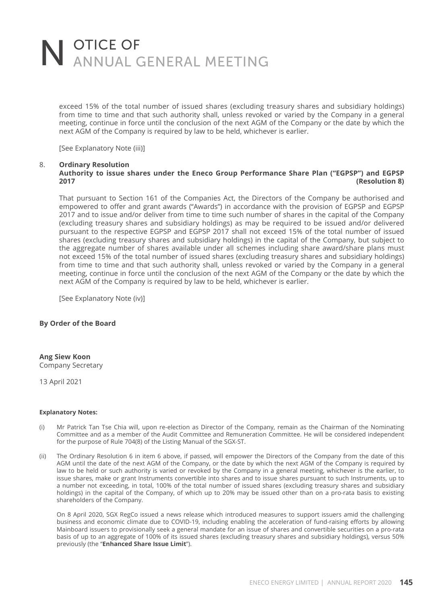exceed 15% of the total number of issued shares (excluding treasury shares and subsidiary holdings) from time to time and that such authority shall, unless revoked or varied by the Company in a general meeting, continue in force until the conclusion of the next AGM of the Company or the date by which the next AGM of the Company is required by law to be held, whichever is earlier.

[See Explanatory Note (iii)]

### 8. **Ordinary Resolution Authority to issue shares under the Eneco Group Performance Share Plan ("EGPSP") and EGPSP 2017 (Resolution 8)**

 That pursuant to Section 161 of the Companies Act, the Directors of the Company be authorised and empowered to offer and grant awards ("Awards") in accordance with the provision of EGPSP and EGPSP 2017 and to issue and/or deliver from time to time such number of shares in the capital of the Company (excluding treasury shares and subsidiary holdings) as may be required to be issued and/or delivered pursuant to the respective EGPSP and EGPSP 2017 shall not exceed 15% of the total number of issued shares (excluding treasury shares and subsidiary holdings) in the capital of the Company, but subject to the aggregate number of shares available under all schemes including share award/share plans must not exceed 15% of the total number of issued shares (excluding treasury shares and subsidiary holdings) from time to time and that such authority shall, unless revoked or varied by the Company in a general meeting, continue in force until the conclusion of the next AGM of the Company or the date by which the next AGM of the Company is required by law to be held, whichever is earlier.

[See Explanatory Note (iv)]

### **By Order of the Board**

**Ang Siew Koon**

Company Secretary

13 April 2021

### **Explanatory Notes:**

- (i) Mr Patrick Tan Tse Chia will, upon re-election as Director of the Company, remain as the Chairman of the Nominating Committee and as a member of the Audit Committee and Remuneration Committee. He will be considered independent for the purpose of Rule 704(8) of the Listing Manual of the SGX-ST.
- (ii) The Ordinary Resolution 6 in item 6 above, if passed, will empower the Directors of the Company from the date of this AGM until the date of the next AGM of the Company, or the date by which the next AGM of the Company is required by law to be held or such authority is varied or revoked by the Company in a general meeting, whichever is the earlier, to issue shares, make or grant Instruments convertible into shares and to issue shares pursuant to such Instruments, up to a number not exceeding, in total, 100% of the total number of issued shares (excluding treasury shares and subsidiary holdings) in the capital of the Company, of which up to 20% may be issued other than on a pro-rata basis to existing shareholders of the Company.

 On 8 April 2020, SGX RegCo issued a news release which introduced measures to support issuers amid the challenging business and economic climate due to COVID-19, including enabling the acceleration of fund-raising efforts by allowing Mainboard issuers to provisionally seek a general mandate for an issue of shares and convertible securities on a pro-rata basis of up to an aggregate of 100% of its issued shares (excluding treasury shares and subsidiary holdings), versus 50% previously (the "**Enhanced Share Issue Limit**").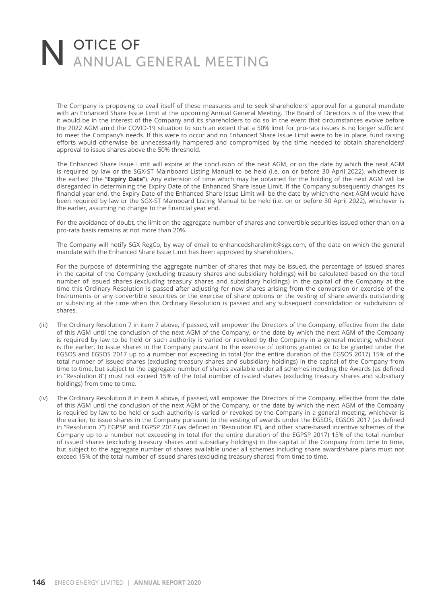The Company is proposing to avail itself of these measures and to seek shareholders' approval for a general mandate with an Enhanced Share Issue Limit at the upcoming Annual General Meeting. The Board of Directors is of the view that it would be in the interest of the Company and its shareholders to do so in the event that circumstances evolve before the 2022 AGM amid the COVID-19 situation to such an extent that a 50% limit for pro-rata issues is no longer sufficient to meet the Company's needs. If this were to occur and no Enhanced Share Issue Limit were to be in place, fund raising efforts would otherwise be unnecessarily hampered and compromised by the time needed to obtain shareholders' approval to issue shares above the 50% threshold.

 The Enhanced Share Issue Limit will expire at the conclusion of the next AGM, or on the date by which the next AGM is required by law or the SGX-ST Mainboard Listing Manual to be held (i.e. on or before 30 April 2022), whichever is the earliest (the "**Expiry Date**"). Any extension of time which may be obtained for the holding of the next AGM will be disregarded in determining the Expiry Date of the Enhanced Share Issue Limit. If the Company subsequently changes its financial year end, the Expiry Date of the Enhanced Share Issue Limit will be the date by which the next AGM would have been required by law or the SGX-ST Mainboard Listing Manual to be held (i.e. on or before 30 April 2022), whichever is the earlier, assuming no change to the financial year end.

 For the avoidance of doubt, the limit on the aggregate number of shares and convertible securities issued other than on a pro-rata basis remains at not more than 20%.

 The Company will notify SGX RegCo, by way of email to enhancedsharelimit@sgx.com, of the date on which the general mandate with the Enhanced Share Issue Limit has been approved by shareholders.

 For the purpose of determining the aggregate number of shares that may be issued, the percentage of issued shares in the capital of the Company (excluding treasury shares and subsidiary holdings) will be calculated based on the total number of issued shares (excluding treasury shares and subsidiary holdings) in the capital of the Company at the time this Ordinary Resolution is passed after adjusting for new shares arising from the conversion or exercise of the Instruments or any convertible securities or the exercise of share options or the vesting of share awards outstanding or subsisting at the time when this Ordinary Resolution is passed and any subsequent consolidation or subdivision of shares.

- (iii) The Ordinary Resolution 7 in item 7 above, if passed, will empower the Directors of the Company, effective from the date of this AGM until the conclusion of the next AGM of the Company, or the date by which the next AGM of the Company is required by law to be held or such authority is varied or revoked by the Company in a general meeting, whichever is the earlier, to issue shares in the Company pursuant to the exercise of options granted or to be granted under the EGSOS and EGSOS 2017 up to a number not exceeding in total (for the entire duration of the EGSOS 2017) 15% of the total number of issued shares (excluding treasury shares and subsidiary holdings) in the capital of the Company from time to time, but subject to the aggregate number of shares available under all schemes including the Awards (as defined in "Resolution 8") must not exceed 15% of the total number of issued shares (excluding treasury shares and subsidiary holdings) from time to time.
- (iv) The Ordinary Resolution 8 in item 8 above, if passed, will empower the Directors of the Company, effective from the date of this AGM until the conclusion of the next AGM of the Company, or the date by which the next AGM of the Company is required by law to be held or such authority is varied or revoked by the Company in a general meeting, whichever is the earlier, to issue shares in the Company pursuant to the vesting of awards under the EGSOS, EGSOS 2017 (as defined in "Resolution 7") EGPSP and EGPSP 2017 (as defined in "Resolution 8"), and other share-based incentive schemes of the Company up to a number not exceeding in total (for the entire duration of the EGPSP 2017) 15% of the total number of issued shares (excluding treasury shares and subsidiary holdings) in the capital of the Company from time to time, but subject to the aggregate number of shares available under all schemes including share award/share plans must not exceed 15% of the total number of issued shares (excluding treasury shares) from time to time.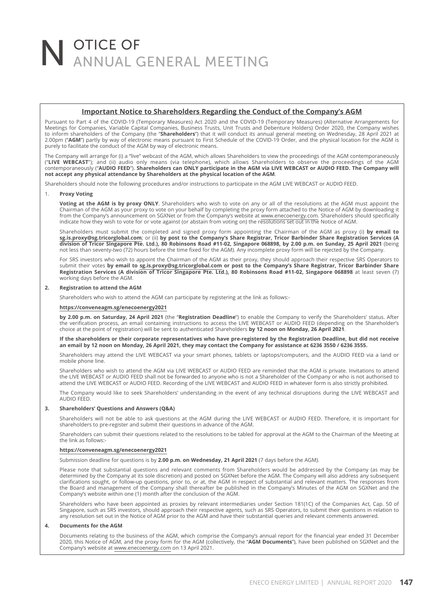### **Important Notice to Shareholders Regarding the Conduct of the Company's AGM**

Pursuant to Part 4 of the COVID-19 (Temporary Measures) Act 2020 and the COVID-19 (Temporary Measures) (Alternative Arrangements for<br>Meetings for Companies, Variable Capital Companies, Business Trusts, Unit Trusts and Debe 2.00pm ("**AGM**") partly by way of electronic means pursuant to First Schedule of the COVID-19 Order, and the physical location for the AGM is purely to facilitate the conduct of the AGM by way of electronic means.

The Company will arrange for (i) a "live" webcast of the AGM, which allows Shareholders to view the proceedings of the AGM contemporaneously<br>("LI**VE WEBCAST"**); and (ii) audio only means (via telephone), which allows Share **not accept any physical attendance by Shareholders at the physical location of the AGM**.

Shareholders should note the following procedures and/or instructions to participate in the AGM LIVE WEBCAST or AUDIO FEED.

#### 1. **Proxy Voting**

 **Voting at the AGM is by proxy ONLY**. Shareholders who wish to vote on any or all of the resolutions at the AGM must appoint the Chairman of the AGM as your proxy to vote on your behalf by completing the proxy form attached to the Notice of AGM by downloading it from the Company's announcement on SGXNet or from the Company's website at www.enecoenergy.com. Shareholders should specifically indicate how they wish to vote for or vote against (or abstain from voting on) the resolutions set out in the Notice of AGM.

Shareholders must submit the completed and signed proxy form appointing the Chairman of the AGM as proxy (i) **by email to**<br>**sg.is.proxy@sg.tricorglobal.com**; or (ii) **by post to the Company's Share Registrar, Tricor Barbin division of Tricor Singapore Pte. Ltd.), 80 Robinsons Road #11-02, Singapore 068898, by 2.00 p.m. on Sunday, 25 April 2021** (being not less than seventy-two (72) hours before the time fixed for the AGM). Any incomplete proxy form will be rejected by the Company.

 For SRS investors who wish to appoint the Chairman of the AGM as their proxy, they should approach their respective SRS Operators to submit their votes **by email to sg.is.proxy@sg.tricorglobal.com or post to the Company's Share Registrar, Tricor Barbinder Share Registration Services (A division of Tricor Singapore Pte. Ltd.), 80 Robinsons Road #11-02, Singapore 068898** at least seven (7) working days before the AGM.

### **2. Registration to attend the AGM**

Shareholders who wish to attend the AGM can participate by registering at the link as follows:-

### **https://conveneagm.sg/enecoenergy2021**

**by 2.00 p.m. on Saturday, 24 April 2021** (the "**Registration Deadline**") to enable the Company to verify the Shareholders' status. After the verifi cation process, an email containing instructions to access the LIVE WEBCAST or AUDIO FEED (depending on the Shareholder's choice at the point of registration) will be sent to authenticated Shareholders **by 12 noon on Monday, 26 April 2021**.

 **If the shareholders or their corporate representatives who have pre-registered by the Registration Deadline, but did not receive an email by 12 noon on Monday, 26 April 2021, they may contact the Company for assistance at 6236 3550 / 6236 3555.**

 Shareholders may attend the LIVE WEBCAST via your smart phones, tablets or laptops/computers, and the AUDIO FEED via a land or mobile phone line.

 Shareholders who wish to attend the AGM via LIVE WEBCAST or AUDIO FEED are reminded that the AGM is private. Invitations to attend the LIVE WEBCAST or AUDIO FEED shall not be forwarded to anyone who is not a Shareholder of the Company or who is not authorised to<br>attend the LIVE WEBCAST or AUDIO FEED. Recording of the LIVE WEBCAST and AUDIO FEED in wha

 The Company would like to seek Shareholders' understanding in the event of any technical disruptions during the LIVE WEBCAST and AUDIO FEED.

### **3. Shareholders' Questions and Answers (Q&A)**

 Shareholders will not be able to ask questions at the AGM during the LIVE WEBCAST or AUDIO FEED. Therefore, it is important for shareholders to pre-register and submit their questions in advance of the AGM.

 Shareholders can submit their questions related to the resolutions to be tabled for approval at the AGM to the Chairman of the Meeting at the link as follows:-

#### **https://conveneagm.sg/enecoenergy2021**

Submission deadline for questions is by **2.00 p.m. on Wednesday, 21 April 2021** (7 days before the AGM).

 Please note that substantial questions and relevant comments from Shareholders would be addressed by the Company (as may be determined by the Company at its sole discretion) and posted on SGXNet before the AGM. The Company will also address any subsequent<br>clarifications sought, or follow-up questions, prior to, or at, the AGM in respect of subs Company's website within one (1) month after the conclusion of the AGM.

Shareholders who have been appointed as proxies by relevant intermediaries under Section 181(1C) of the Companies Act, Cap. 50 of<br>Singapore, such as SRS investors, should approach their respective agents, such as SRS Opera any resolution set out in the Notice of AGM prior to the AGM and have their substantial queries and relevant comments answered.

#### **4. Documents for the AGM**

Documents relating to the business of the AGM, which comprise the Company's annual report for the financial year ended 31 December 2020, this Notice of AGM, and the proxy form for the AGM (collectively, the "**AGM Documents**"), have been published on SGXNet and the Company's website at www.enecoenergy.com on 13 April 2021.